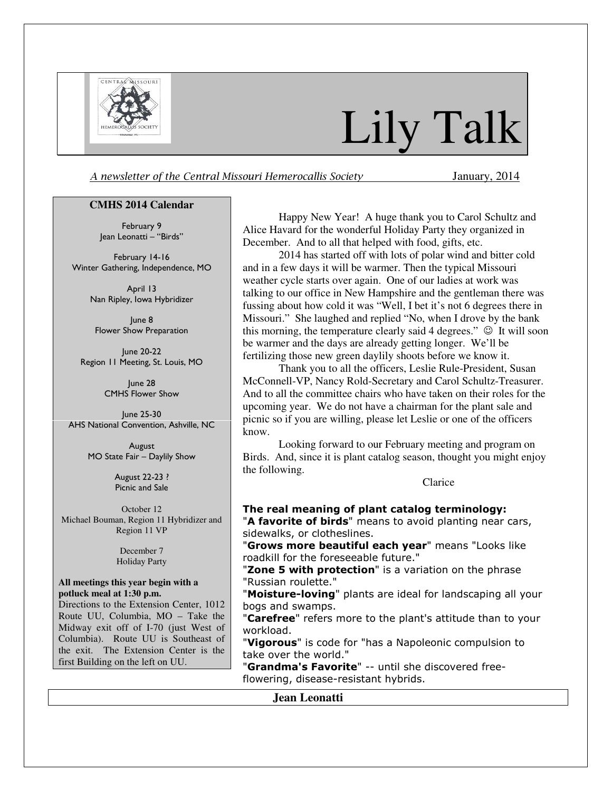

# Lily Talk

A newsletter of the Central Missouri Hemerocallis Society January, 2014

#### **CMHS 2014 Calendar**

February 9 Jean Leonatti – "Birds"

February 14-16 Winter Gathering, Independence, MO

> April 13 Nan Ripley, Iowa Hybridizer

June 8 Flower Show Preparation

June 20-22 Region 11 Meeting, St. Louis, MO

> June 28 CMHS Flower Show

June 25-30 AHS National Convention, Ashville, NC

> August MO State Fair – Daylily Show

> > August 22-23 ? Picnic and Sale

October 12 Michael Bouman, Region 11 Hybridizer and Region 11 VP

> December 7 Holiday Party

#### **All meetings this year begin with a potluck meal at 1:30 p.m.**

Directions to the Extension Center, 1012 Route UU, Columbia, MO – Take the Midway exit off of I-70 (just West of Columbia). Route UU is Southeast of the exit. The Extension Center is the first Building on the left on UU.

Happy New Year! A huge thank you to Carol Schultz and Alice Havard for the wonderful Holiday Party they organized in December. And to all that helped with food, gifts, etc.

2014 has started off with lots of polar wind and bitter cold and in a few days it will be warmer. Then the typical Missouri weather cycle starts over again. One of our ladies at work was talking to our office in New Hampshire and the gentleman there was fussing about how cold it was "Well, I bet it's not 6 degrees there in Missouri." She laughed and replied "No, when I drove by the bank this morning, the temperature clearly said 4 degrees."  $\odot$  It will soon be warmer and the days are already getting longer. We'll be fertilizing those new green daylily shoots before we know it.

Thank you to all the officers, Leslie Rule-President, Susan McConnell-VP, Nancy Rold-Secretary and Carol Schultz-Treasurer. And to all the committee chairs who have taken on their roles for the upcoming year. We do not have a chairman for the plant sale and picnic so if you are willing, please let Leslie or one of the officers know.

Looking forward to our February meeting and program on Birds. And, since it is plant catalog season, thought you might enjoy the following.

**Clarice** 

#### The real meaning of plant catalog terminology:

"A favorite of birds" means to avoid planting near cars, sidewalks, or clotheslines.

"Grows more beautiful each vear" means "Looks like roadkill for the foreseeable future."

"Zone 5 with protection" is a variation on the phrase "Russian roulette."

"Moisture-loving" plants are ideal for landscaping all your bogs and swamps.

"Carefree" refers more to the plant's attitude than to your workload.

"Vigorous" is code for "has a Napoleonic compulsion to take over the world."

"Grandma's Favorite" -- until she discovered freeflowering, disease-resistant hybrids.

### **Jean Leonatti**